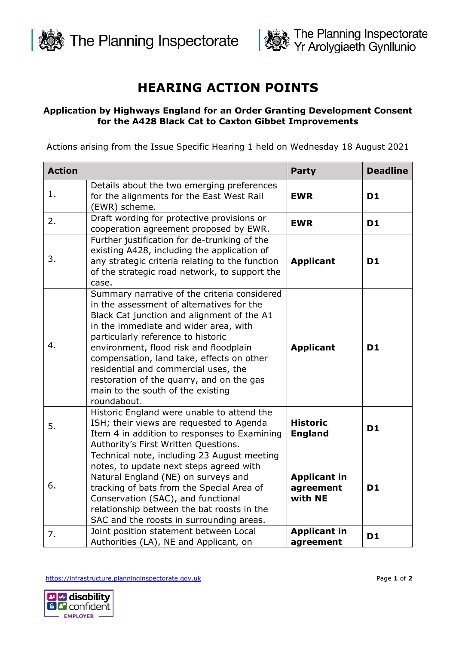



## **HEARING ACTION POINTS**

## **Application by Highways England for an Order Granting Development Consent for the A428 Black Cat to Caxton Gibbet Improvements**

Actions arising from the Issue Specific Hearing 1 held on Wednesday 18 August 2021

| <b>Action</b> |                                                                                                                                                                                                                                                                                                                                                                                                                                                        | <b>Party</b>                                | <b>Deadline</b> |
|---------------|--------------------------------------------------------------------------------------------------------------------------------------------------------------------------------------------------------------------------------------------------------------------------------------------------------------------------------------------------------------------------------------------------------------------------------------------------------|---------------------------------------------|-----------------|
| 1.            | Details about the two emerging preferences<br>for the alignments for the East West Rail<br>(EWR) scheme.                                                                                                                                                                                                                                                                                                                                               | <b>EWR</b>                                  | D <sub>1</sub>  |
| 2.            | Draft wording for protective provisions or<br>cooperation agreement proposed by EWR.                                                                                                                                                                                                                                                                                                                                                                   | <b>EWR</b>                                  | <b>D1</b>       |
| 3.            | Further justification for de-trunking of the<br>existing A428, including the application of<br>any strategic criteria relating to the function<br>of the strategic road network, to support the<br>case.                                                                                                                                                                                                                                               | <b>Applicant</b>                            | D <sub>1</sub>  |
| 4.            | Summary narrative of the criteria considered<br>in the assessment of alternatives for the<br>Black Cat junction and alignment of the A1<br>in the immediate and wider area, with<br>particularly reference to historic<br>environment, flood risk and floodplain<br>compensation, land take, effects on other<br>residential and commercial uses, the<br>restoration of the quarry, and on the gas<br>main to the south of the existing<br>roundabout. | <b>Applicant</b>                            | D <sub>1</sub>  |
| 5.            | Historic England were unable to attend the<br>ISH; their views are requested to Agenda<br>Item 4 in addition to responses to Examining<br>Authority's First Written Questions.                                                                                                                                                                                                                                                                         | <b>Historic</b><br><b>England</b>           | <b>D1</b>       |
| 6.            | Technical note, including 23 August meeting<br>notes, to update next steps agreed with<br>Natural England (NE) on surveys and<br>tracking of bats from the Special Area of<br>Conservation (SAC), and functional<br>relationship between the bat roosts in the<br>SAC and the roosts in surrounding areas.                                                                                                                                             | <b>Applicant in</b><br>agreement<br>with NE | D <sub>1</sub>  |
| 7.            | Joint position statement between Local<br>Authorities (LA), NE and Applicant, on                                                                                                                                                                                                                                                                                                                                                                       | <b>Applicant in</b><br>agreement            | <b>D1</b>       |

[https://infrastructure.planninginspectorate.gov.uk](https://infrastructure.planninginspectorate.gov.uk/) Page **1** of **2**